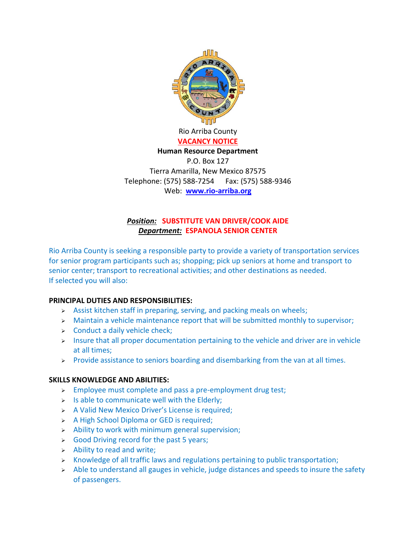

**VACANCY NOTICE**

## **Human Resource Department**

P.O. Box 127 Tierra Amarilla, New Mexico 87575 Telephone: (575) 588-7254 Fax: (575) 588-9346 Web: **[www.rio-arriba.org](http://www.rio-arriba.org/)**

## *Position:* **SUBSTITUTE VAN DRIVER/COOK AIDE** *Department:* **ESPANOLA SENIOR CENTER**

Rio Arriba County is seeking a responsible party to provide a variety of transportation services for senior program participants such as; shopping; pick up seniors at home and transport to senior center; transport to recreational activities; and other destinations as needed. If selected you will also:

## **PRINCIPAL DUTIES AND RESPONSIBILITIES:**

- $\triangleright$  Assist kitchen staff in preparing, serving, and packing meals on wheels;
- $\triangleright$  Maintain a vehicle maintenance report that will be submitted monthly to supervisor;
- $\triangleright$  Conduct a daily vehicle check;
- $>$  Insure that all proper documentation pertaining to the vehicle and driver are in vehicle at all times;
- $\triangleright$  Provide assistance to seniors boarding and disembarking from the van at all times.

## **SKILLS KNOWLEDGE AND ABILITIES:**

- $\triangleright$  Employee must complete and pass a pre-employment drug test;
- $>$  Is able to communicate well with the Elderly;
- $\triangleright$  A Valid New Mexico Driver's License is required;
- > A High School Diploma or GED is required;
- $\geq$  Ability to work with minimum general supervision;
- $\triangleright$  Good Driving record for the past 5 years;
- $\triangleright$  Ability to read and write;
- $\triangleright$  Knowledge of all traffic laws and regulations pertaining to public transportation;
- $\rightarrow$  Able to understand all gauges in vehicle, judge distances and speeds to insure the safety of passengers.